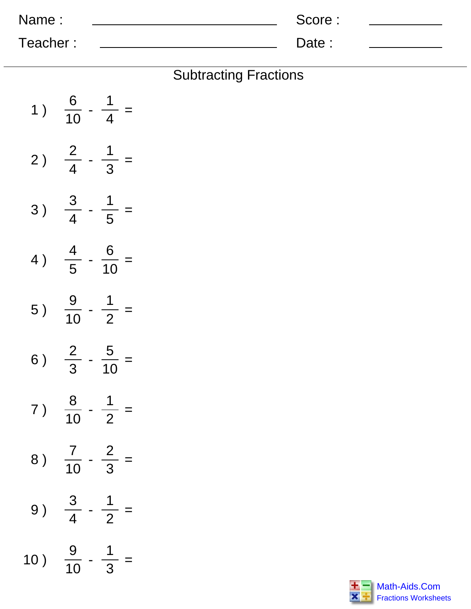| Name:    | Score: |  |
|----------|--------|--|
| Teacher: | Date:  |  |

| <b>Subtracting Fractions</b> |  |
|------------------------------|--|
|------------------------------|--|